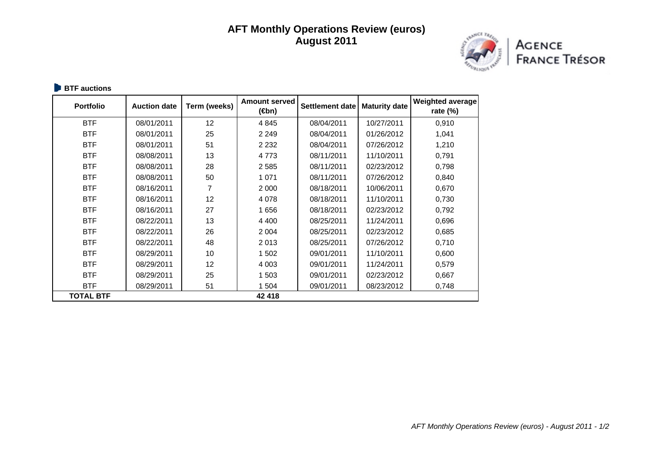## **AFT Monthly Operations Review (euros) August 2011**



Agence<br>France Trésor

**BTF** auctions

| <b>Portfolio</b> | <b>Auction date</b> | Term (weeks) | <b>Amount served</b><br>(⊕n) | Settlement date | <b>Maturity date</b> | <b>Weighted average</b><br>rate $(\%)$ |
|------------------|---------------------|--------------|------------------------------|-----------------|----------------------|----------------------------------------|
| <b>BTF</b>       | 08/01/2011          | 12           | 4 8 4 5                      | 08/04/2011      | 10/27/2011           | 0,910                                  |
| <b>BTF</b>       | 08/01/2011          | 25           | 2 2 4 9                      | 08/04/2011      | 01/26/2012           | 1,041                                  |
| <b>BTF</b>       | 08/01/2011          | 51           | 2 2 3 2                      | 08/04/2011      | 07/26/2012           | 1,210                                  |
| <b>BTF</b>       | 08/08/2011          | 13           | 4773                         | 08/11/2011      | 11/10/2011           | 0,791                                  |
| <b>BTF</b>       | 08/08/2011          | 28           | 2 5 8 5                      | 08/11/2011      | 02/23/2012           | 0,798                                  |
| <b>BTF</b>       | 08/08/2011          | 50           | 1 0 7 1                      | 08/11/2011      | 07/26/2012           | 0,840                                  |
| <b>BTF</b>       | 08/16/2011          | 7            | 2 0 0 0                      | 08/18/2011      | 10/06/2011           | 0,670                                  |
| <b>BTF</b>       | 08/16/2011          | 12           | 4 0 78                       | 08/18/2011      | 11/10/2011           | 0,730                                  |
| <b>BTF</b>       | 08/16/2011          | 27           | 1 656                        | 08/18/2011      | 02/23/2012           | 0,792                                  |
| <b>BTF</b>       | 08/22/2011          | 13           | 4 4 0 0                      | 08/25/2011      | 11/24/2011           | 0,696                                  |
| <b>BTF</b>       | 08/22/2011          | 26           | 2 0 0 4                      | 08/25/2011      | 02/23/2012           | 0,685                                  |
| <b>BTF</b>       | 08/22/2011          | 48           | 2013                         | 08/25/2011      | 07/26/2012           | 0,710                                  |
| <b>BTF</b>       | 08/29/2011          | 10           | 1 502                        | 09/01/2011      | 11/10/2011           | 0,600                                  |
| <b>BTF</b>       | 08/29/2011          | 12           | 4 0 0 3                      | 09/01/2011      | 11/24/2011           | 0,579                                  |
| <b>BTF</b>       | 08/29/2011          | 25           | 1 503                        | 09/01/2011      | 02/23/2012           | 0,667                                  |
| <b>BTF</b>       | 08/29/2011          | 51           | 1 504                        | 09/01/2011      | 08/23/2012           | 0,748                                  |
| <b>TOTAL BTF</b> |                     |              | 42 418                       |                 |                      |                                        |